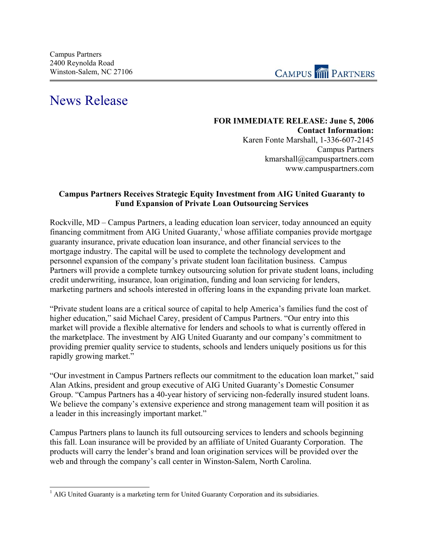

# News Release

## **FOR IMMEDIATE RELEASE: June 5, 2006 Contact Information:**  Karen Fonte Marshall, 1-336-607-2145 Campus Partners kmarshall@campuspartners.com www.campuspartners.com

## **Campus Partners Receives Strategic Equity Investment from AIG United Guaranty to Fund Expansion of Private Loan Outsourcing Services**

Rockville, MD – Campus Partners, a leading education loan servicer, today announced an equity financing commitment from AIG United Guaranty,<sup>1</sup> whose affiliate companies provide mortgage guaranty insurance, private education loan insurance, and other financial services to the mortgage industry. The capital will be used to complete the technology development and personnel expansion of the company's private student loan facilitation business. Campus Partners will provide a complete turnkey outsourcing solution for private student loans, including credit underwriting, insurance, loan origination, funding and loan servicing for lenders, marketing partners and schools interested in offering loans in the expanding private loan market.

"Private student loans are a critical source of capital to help America's families fund the cost of higher education," said Michael Carey, president of Campus Partners. "Our entry into this market will provide a flexible alternative for lenders and schools to what is currently offered in the marketplace. The investment by AIG United Guaranty and our company's commitment to providing premier quality service to students, schools and lenders uniquely positions us for this rapidly growing market."

"Our investment in Campus Partners reflects our commitment to the education loan market," said Alan Atkins, president and group executive of AIG United Guaranty's Domestic Consumer Group. "Campus Partners has a 40-year history of servicing non-federally insured student loans. We believe the company's extensive experience and strong management team will position it as a leader in this increasingly important market."

Campus Partners plans to launch its full outsourcing services to lenders and schools beginning this fall. Loan insurance will be provided by an affiliate of United Guaranty Corporation. The products will carry the lender's brand and loan origination services will be provided over the web and through the company's call center in Winston-Salem, North Carolina.

 $\overline{\phantom{a}}$ <sup>1</sup> AIG United Guaranty is a marketing term for United Guaranty Corporation and its subsidiaries.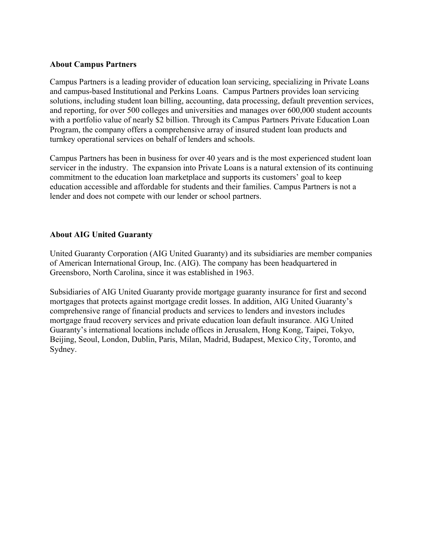### **About Campus Partners**

Campus Partners is a leading provider of education loan servicing, specializing in Private Loans and campus-based Institutional and Perkins Loans. Campus Partners provides loan servicing solutions, including student loan billing, accounting, data processing, default prevention services, and reporting, for over 500 colleges and universities and manages over 600,000 student accounts with a portfolio value of nearly \$2 billion. Through its Campus Partners Private Education Loan Program, the company offers a comprehensive array of insured student loan products and turnkey operational services on behalf of lenders and schools.

Campus Partners has been in business for over 40 years and is the most experienced student loan servicer in the industry. The expansion into Private Loans is a natural extension of its continuing commitment to the education loan marketplace and supports its customers' goal to keep education accessible and affordable for students and their families. Campus Partners is not a lender and does not compete with our lender or school partners.

## **About AIG United Guaranty**

United Guaranty Corporation (AIG United Guaranty) and its subsidiaries are member companies of American International Group, Inc. (AIG). The company has been headquartered in Greensboro, North Carolina, since it was established in 1963.

Subsidiaries of AIG United Guaranty provide mortgage guaranty insurance for first and second mortgages that protects against mortgage credit losses. In addition, AIG United Guaranty's comprehensive range of financial products and services to lenders and investors includes mortgage fraud recovery services and private education loan default insurance. AIG United Guaranty's international locations include offices in Jerusalem, Hong Kong, Taipei, Tokyo, Beijing, Seoul, London, Dublin, Paris, Milan, Madrid, Budapest, Mexico City, Toronto, and Sydney.